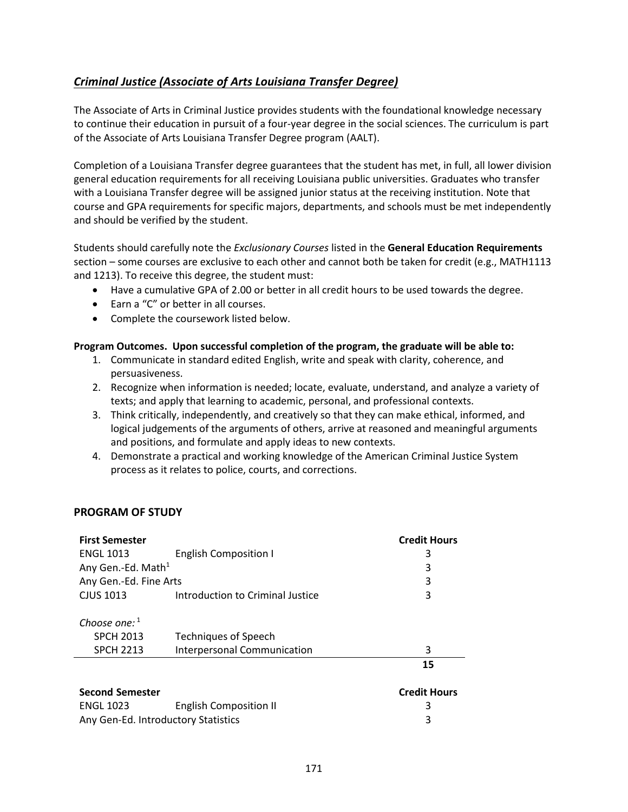## <span id="page-0-0"></span>*[Criminal Justice \(Associate of Arts Louisiana](#page-0-0) Transfer Degree)*

The Associate of Arts in Criminal Justice provides students with the foundational knowledge necessary to continue their education in pursuit of a four-year degree in the social sciences. The curriculum is part of the Associate of Arts Louisiana Transfer Degree program (AALT).

Completion of a Louisiana Transfer degree guarantees that the student has met, in full, all lower division general education requirements for all receiving Louisiana public universities. Graduates who transfer with a Louisiana Transfer degree will be assigned junior status at the receiving institution. Note that course and GPA requirements for specific majors, departments, and schools must be met independently and should be verified by the student.

Students should carefully note the *Exclusionary Courses* listed in the **General Education Requirements** section – some courses are exclusive to each other and cannot both be taken for credit (e.g., MATH1113 and 1213). To receive this degree, the student must:

- Have a cumulative GPA of 2.00 or better in all credit hours to be used towards the degree.
- Earn a "C" or better in all courses.
- Complete the coursework listed below.

## **Program Outcomes. Upon successful completion of the program, the graduate will be able to:**

- 1. Communicate in standard edited English, write and speak with clarity, coherence, and persuasiveness.
- 2. Recognize when information is needed; locate, evaluate, understand, and analyze a variety of texts; and apply that learning to academic, personal, and professional contexts.
- 3. Think critically, independently, and creatively so that they can make ethical, informed, and logical judgements of the arguments of others, arrive at reasoned and meaningful arguments and positions, and formulate and apply ideas to new contexts.
- 4. Demonstrate a practical and working knowledge of the American Criminal Justice System process as it relates to police, courts, and corrections.

## **PROGRAM OF STUDY**

| <b>First Semester</b>               |                                  | <b>Credit Hours</b> |
|-------------------------------------|----------------------------------|---------------------|
| <b>ENGL 1013</b>                    | <b>English Composition I</b>     | 3                   |
| Any Gen.-Ed. Math <sup>1</sup>      |                                  | 3                   |
| Any Gen.-Ed. Fine Arts              |                                  | 3                   |
| CJUS 1013                           | Introduction to Criminal Justice | 3                   |
|                                     |                                  |                     |
| Choose one: $1$                     |                                  |                     |
| <b>SPCH 2013</b>                    | <b>Techniques of Speech</b>      |                     |
| <b>SPCH 2213</b>                    | Interpersonal Communication      | 3                   |
|                                     |                                  | 15                  |
| <b>Second Semester</b>              |                                  | <b>Credit Hours</b> |
| <b>ENGL 1023</b>                    | <b>English Composition II</b>    | 3                   |
| Any Gen-Ed. Introductory Statistics |                                  | 3                   |